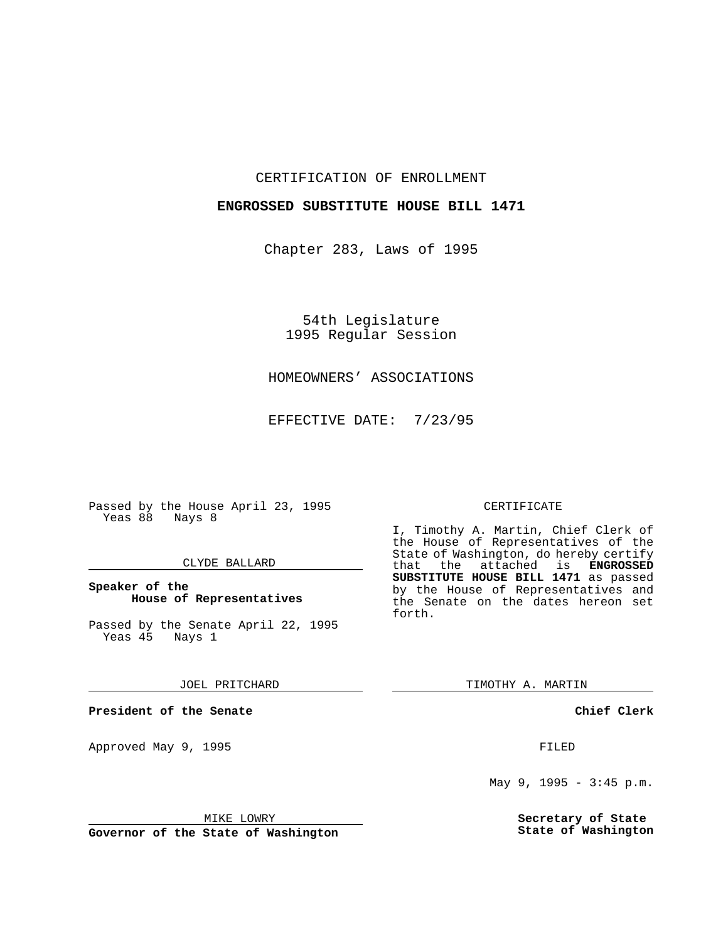CERTIFICATION OF ENROLLMENT

## **ENGROSSED SUBSTITUTE HOUSE BILL 1471**

Chapter 283, Laws of 1995

54th Legislature 1995 Regular Session

# HOMEOWNERS' ASSOCIATIONS

EFFECTIVE DATE: 7/23/95

Passed by the House April 23, 1995 Yeas 88 Nays 8

### CLYDE BALLARD

## **Speaker of the House of Representatives**

Passed by the Senate April 22, 1995<br>Yeas 45 Nays 1 Yeas 45

#### JOEL PRITCHARD

**President of the Senate**

Approved May 9, 1995 **FILED** 

MIKE LOWRY

**Governor of the State of Washington**

#### CERTIFICATE

I, Timothy A. Martin, Chief Clerk of the House of Representatives of the State of Washington, do hereby certify<br>that the attached is **ENGROSSED** the attached is **ENGROSSED SUBSTITUTE HOUSE BILL 1471** as passed by the House of Representatives and the Senate on the dates hereon set forth.

TIMOTHY A. MARTIN

**Chief Clerk**

May 9, 1995 - 3:45 p.m.

**Secretary of State State of Washington**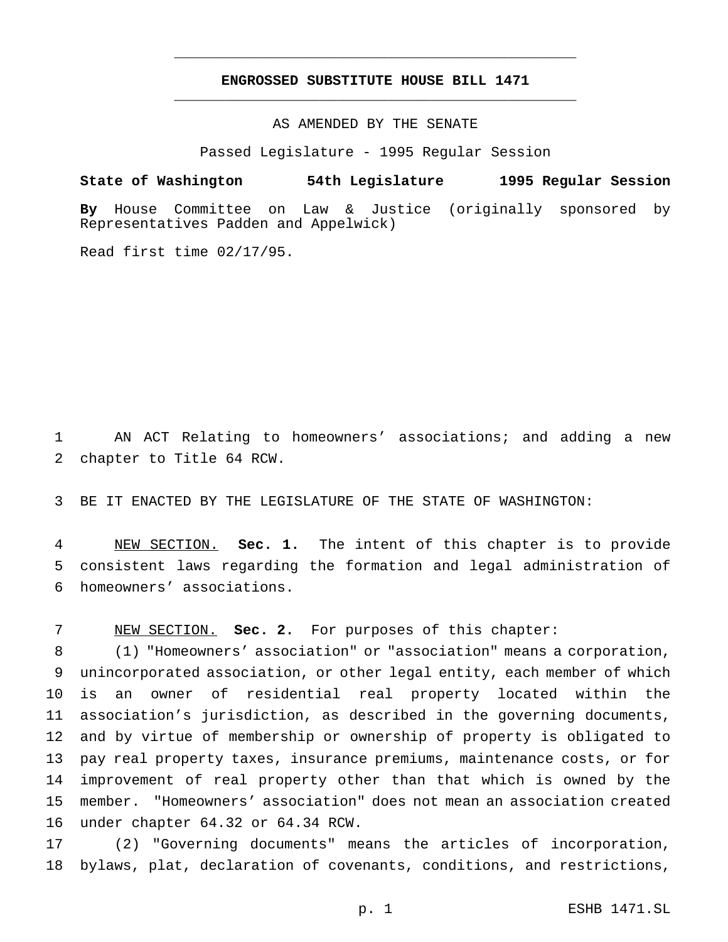# **ENGROSSED SUBSTITUTE HOUSE BILL 1471** \_\_\_\_\_\_\_\_\_\_\_\_\_\_\_\_\_\_\_\_\_\_\_\_\_\_\_\_\_\_\_\_\_\_\_\_\_\_\_\_\_\_\_\_\_\_\_

\_\_\_\_\_\_\_\_\_\_\_\_\_\_\_\_\_\_\_\_\_\_\_\_\_\_\_\_\_\_\_\_\_\_\_\_\_\_\_\_\_\_\_\_\_\_\_

AS AMENDED BY THE SENATE

Passed Legislature - 1995 Regular Session

#### **State of Washington 54th Legislature 1995 Regular Session**

**By** House Committee on Law & Justice (originally sponsored by Representatives Padden and Appelwick)

Read first time 02/17/95.

 AN ACT Relating to homeowners' associations; and adding a new chapter to Title 64 RCW.

BE IT ENACTED BY THE LEGISLATURE OF THE STATE OF WASHINGTON:

 NEW SECTION. **Sec. 1.** The intent of this chapter is to provide consistent laws regarding the formation and legal administration of homeowners' associations.

NEW SECTION. **Sec. 2.** For purposes of this chapter:

 (1) "Homeowners' association" or "association" means a corporation, unincorporated association, or other legal entity, each member of which is an owner of residential real property located within the association's jurisdiction, as described in the governing documents, and by virtue of membership or ownership of property is obligated to pay real property taxes, insurance premiums, maintenance costs, or for improvement of real property other than that which is owned by the member. "Homeowners' association" does not mean an association created under chapter 64.32 or 64.34 RCW.

 (2) "Governing documents" means the articles of incorporation, bylaws, plat, declaration of covenants, conditions, and restrictions,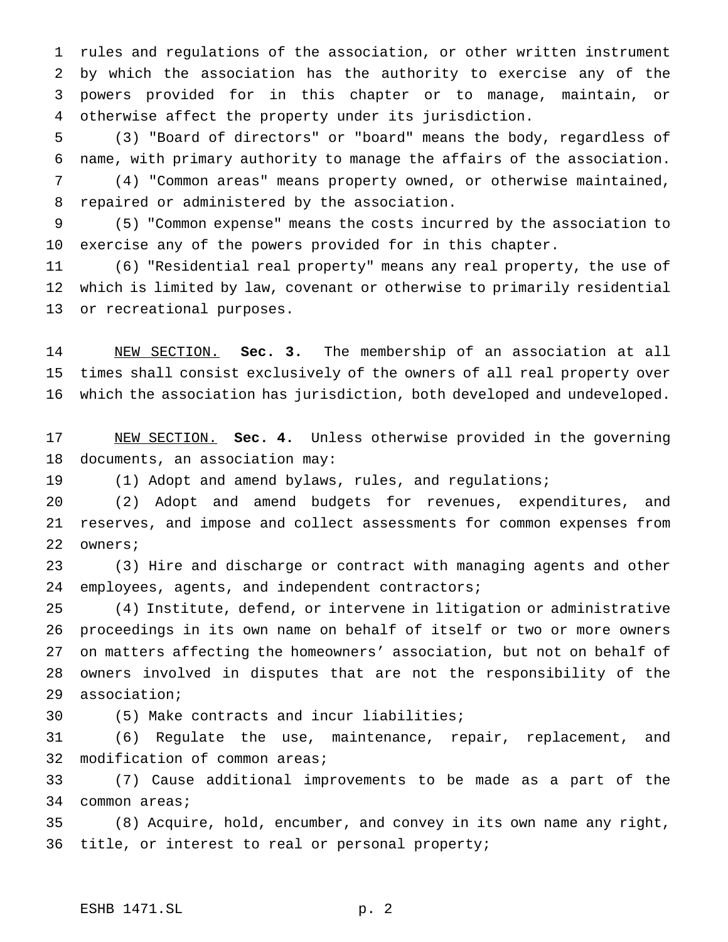rules and regulations of the association, or other written instrument by which the association has the authority to exercise any of the powers provided for in this chapter or to manage, maintain, or otherwise affect the property under its jurisdiction.

 (3) "Board of directors" or "board" means the body, regardless of name, with primary authority to manage the affairs of the association.

 (4) "Common areas" means property owned, or otherwise maintained, repaired or administered by the association.

 (5) "Common expense" means the costs incurred by the association to exercise any of the powers provided for in this chapter.

 (6) "Residential real property" means any real property, the use of which is limited by law, covenant or otherwise to primarily residential or recreational purposes.

 NEW SECTION. **Sec. 3.** The membership of an association at all times shall consist exclusively of the owners of all real property over which the association has jurisdiction, both developed and undeveloped.

 NEW SECTION. **Sec. 4.** Unless otherwise provided in the governing documents, an association may:

(1) Adopt and amend bylaws, rules, and regulations;

 (2) Adopt and amend budgets for revenues, expenditures, and reserves, and impose and collect assessments for common expenses from owners;

 (3) Hire and discharge or contract with managing agents and other 24 employees, agents, and independent contractors;

 (4) Institute, defend, or intervene in litigation or administrative proceedings in its own name on behalf of itself or two or more owners on matters affecting the homeowners' association, but not on behalf of owners involved in disputes that are not the responsibility of the association;

(5) Make contracts and incur liabilities;

 (6) Regulate the use, maintenance, repair, replacement, and modification of common areas;

 (7) Cause additional improvements to be made as a part of the common areas;

 (8) Acquire, hold, encumber, and convey in its own name any right, title, or interest to real or personal property;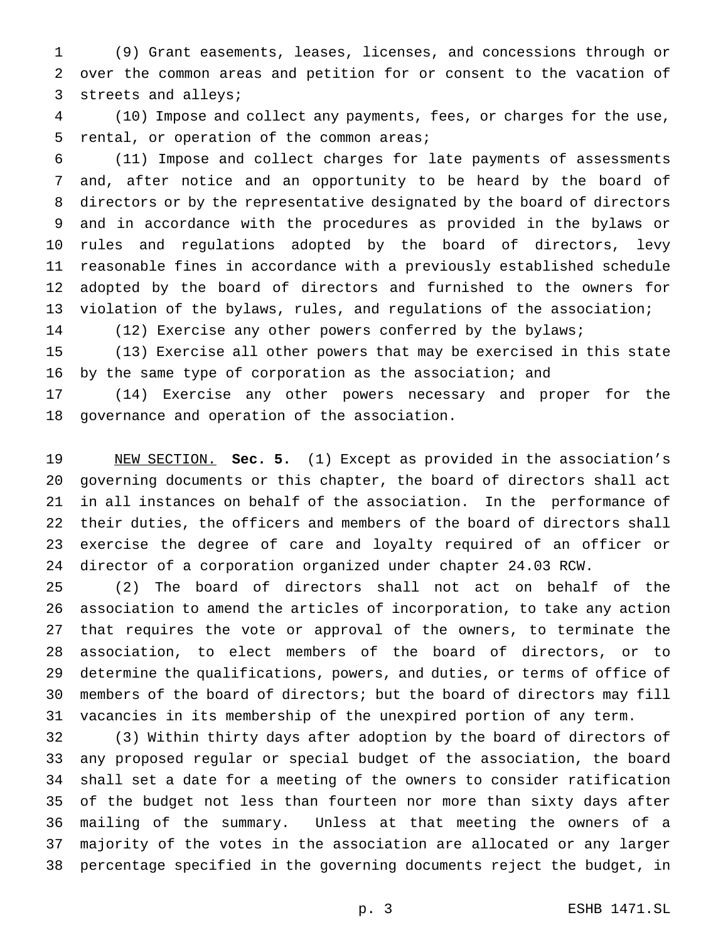(9) Grant easements, leases, licenses, and concessions through or over the common areas and petition for or consent to the vacation of streets and alleys;

 (10) Impose and collect any payments, fees, or charges for the use, 5 rental, or operation of the common areas;

 (11) Impose and collect charges for late payments of assessments and, after notice and an opportunity to be heard by the board of directors or by the representative designated by the board of directors and in accordance with the procedures as provided in the bylaws or rules and regulations adopted by the board of directors, levy reasonable fines in accordance with a previously established schedule adopted by the board of directors and furnished to the owners for violation of the bylaws, rules, and regulations of the association;

(12) Exercise any other powers conferred by the bylaws;

 (13) Exercise all other powers that may be exercised in this state by the same type of corporation as the association; and

 (14) Exercise any other powers necessary and proper for the governance and operation of the association.

 NEW SECTION. **Sec. 5.** (1) Except as provided in the association's governing documents or this chapter, the board of directors shall act in all instances on behalf of the association. In the performance of their duties, the officers and members of the board of directors shall exercise the degree of care and loyalty required of an officer or director of a corporation organized under chapter 24.03 RCW.

 (2) The board of directors shall not act on behalf of the association to amend the articles of incorporation, to take any action that requires the vote or approval of the owners, to terminate the association, to elect members of the board of directors, or to determine the qualifications, powers, and duties, or terms of office of members of the board of directors; but the board of directors may fill vacancies in its membership of the unexpired portion of any term.

 (3) Within thirty days after adoption by the board of directors of any proposed regular or special budget of the association, the board shall set a date for a meeting of the owners to consider ratification of the budget not less than fourteen nor more than sixty days after mailing of the summary. Unless at that meeting the owners of a majority of the votes in the association are allocated or any larger percentage specified in the governing documents reject the budget, in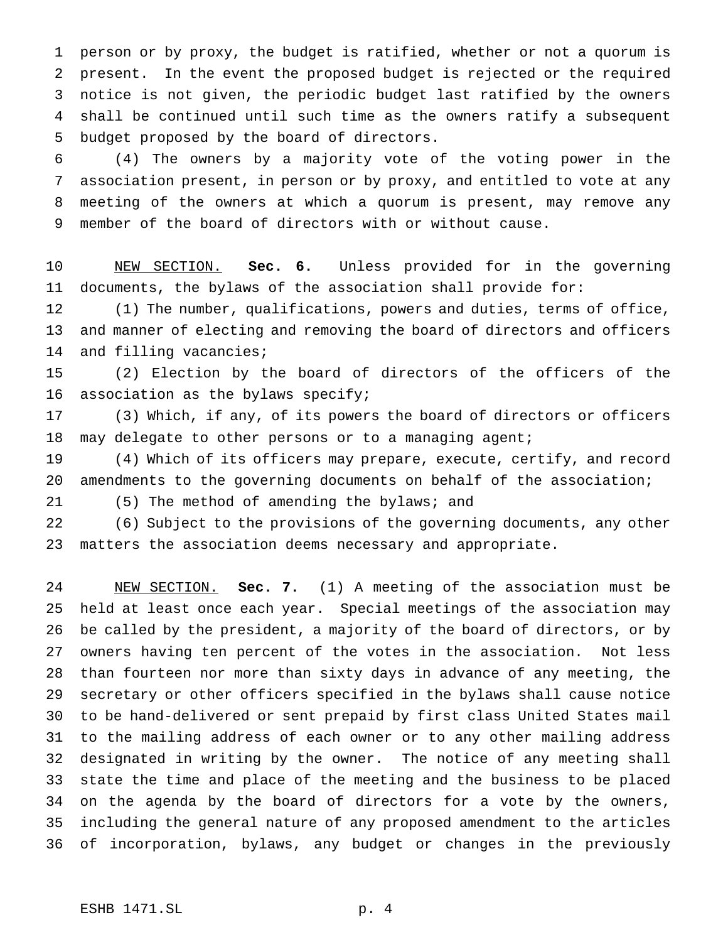person or by proxy, the budget is ratified, whether or not a quorum is present. In the event the proposed budget is rejected or the required notice is not given, the periodic budget last ratified by the owners shall be continued until such time as the owners ratify a subsequent budget proposed by the board of directors.

 (4) The owners by a majority vote of the voting power in the association present, in person or by proxy, and entitled to vote at any meeting of the owners at which a quorum is present, may remove any member of the board of directors with or without cause.

 NEW SECTION. **Sec. 6.** Unless provided for in the governing documents, the bylaws of the association shall provide for:

 (1) The number, qualifications, powers and duties, terms of office, and manner of electing and removing the board of directors and officers and filling vacancies;

 (2) Election by the board of directors of the officers of the association as the bylaws specify;

 (3) Which, if any, of its powers the board of directors or officers 18 may delegate to other persons or to a managing agent;

 (4) Which of its officers may prepare, execute, certify, and record amendments to the governing documents on behalf of the association;

(5) The method of amending the bylaws; and

 (6) Subject to the provisions of the governing documents, any other matters the association deems necessary and appropriate.

 NEW SECTION. **Sec. 7.** (1) A meeting of the association must be held at least once each year. Special meetings of the association may be called by the president, a majority of the board of directors, or by owners having ten percent of the votes in the association. Not less than fourteen nor more than sixty days in advance of any meeting, the secretary or other officers specified in the bylaws shall cause notice to be hand-delivered or sent prepaid by first class United States mail to the mailing address of each owner or to any other mailing address designated in writing by the owner. The notice of any meeting shall state the time and place of the meeting and the business to be placed on the agenda by the board of directors for a vote by the owners, including the general nature of any proposed amendment to the articles of incorporation, bylaws, any budget or changes in the previously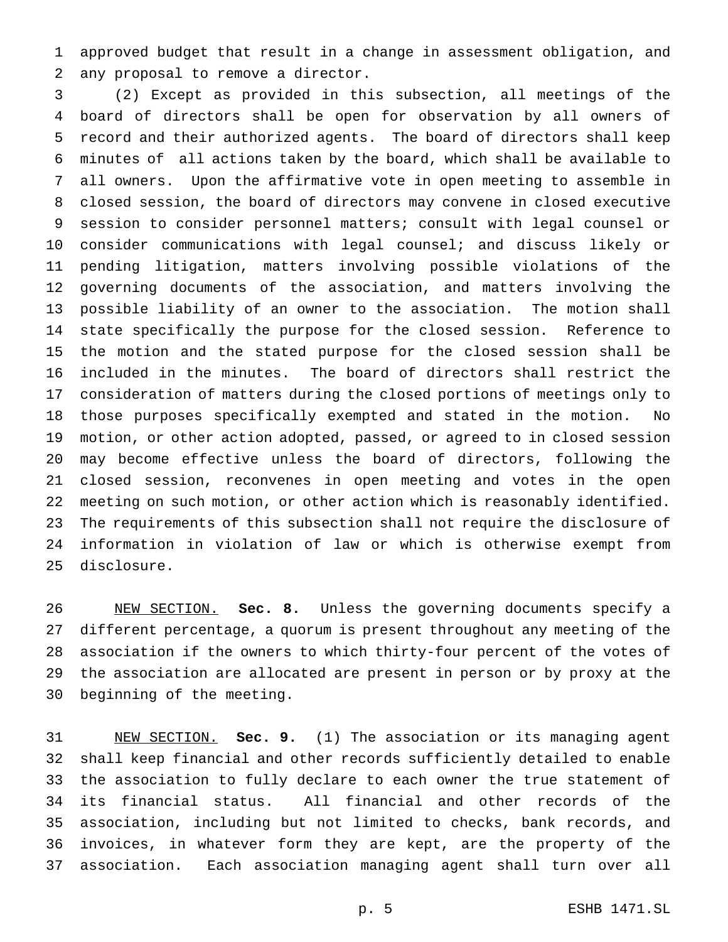approved budget that result in a change in assessment obligation, and any proposal to remove a director.

 (2) Except as provided in this subsection, all meetings of the board of directors shall be open for observation by all owners of record and their authorized agents. The board of directors shall keep minutes of all actions taken by the board, which shall be available to all owners. Upon the affirmative vote in open meeting to assemble in closed session, the board of directors may convene in closed executive session to consider personnel matters; consult with legal counsel or consider communications with legal counsel; and discuss likely or pending litigation, matters involving possible violations of the governing documents of the association, and matters involving the possible liability of an owner to the association. The motion shall state specifically the purpose for the closed session. Reference to the motion and the stated purpose for the closed session shall be included in the minutes. The board of directors shall restrict the consideration of matters during the closed portions of meetings only to those purposes specifically exempted and stated in the motion. No motion, or other action adopted, passed, or agreed to in closed session may become effective unless the board of directors, following the closed session, reconvenes in open meeting and votes in the open meeting on such motion, or other action which is reasonably identified. The requirements of this subsection shall not require the disclosure of information in violation of law or which is otherwise exempt from disclosure.

 NEW SECTION. **Sec. 8.** Unless the governing documents specify a different percentage, a quorum is present throughout any meeting of the association if the owners to which thirty-four percent of the votes of the association are allocated are present in person or by proxy at the beginning of the meeting.

 NEW SECTION. **Sec. 9.** (1) The association or its managing agent shall keep financial and other records sufficiently detailed to enable the association to fully declare to each owner the true statement of its financial status. All financial and other records of the association, including but not limited to checks, bank records, and invoices, in whatever form they are kept, are the property of the association. Each association managing agent shall turn over all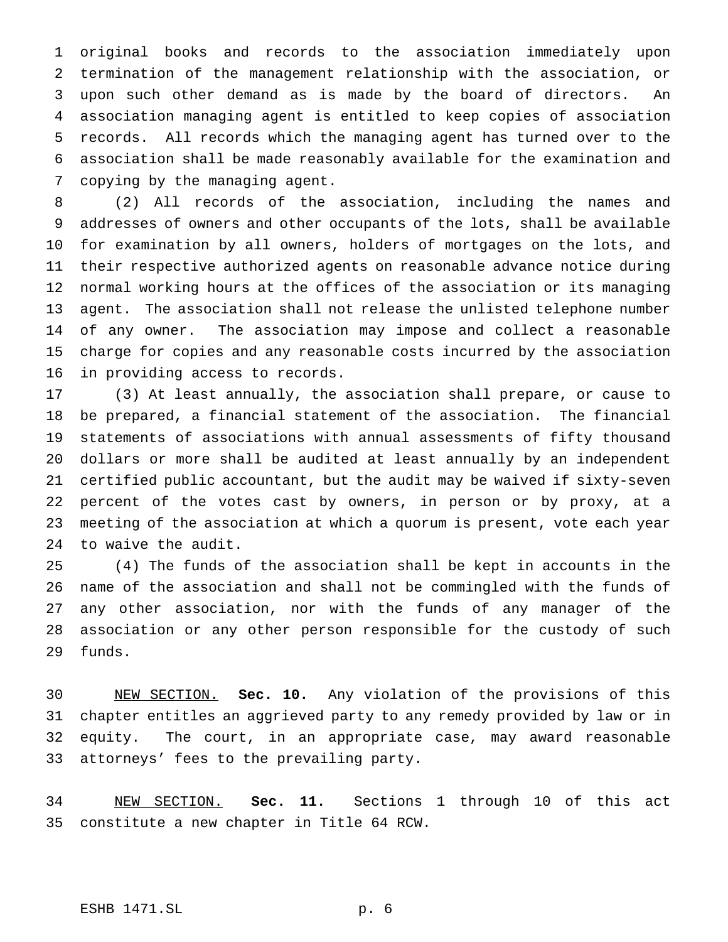original books and records to the association immediately upon termination of the management relationship with the association, or upon such other demand as is made by the board of directors. An association managing agent is entitled to keep copies of association records. All records which the managing agent has turned over to the association shall be made reasonably available for the examination and copying by the managing agent.

 (2) All records of the association, including the names and addresses of owners and other occupants of the lots, shall be available for examination by all owners, holders of mortgages on the lots, and their respective authorized agents on reasonable advance notice during normal working hours at the offices of the association or its managing agent. The association shall not release the unlisted telephone number of any owner. The association may impose and collect a reasonable charge for copies and any reasonable costs incurred by the association in providing access to records.

 (3) At least annually, the association shall prepare, or cause to be prepared, a financial statement of the association. The financial statements of associations with annual assessments of fifty thousand dollars or more shall be audited at least annually by an independent certified public accountant, but the audit may be waived if sixty-seven percent of the votes cast by owners, in person or by proxy, at a meeting of the association at which a quorum is present, vote each year to waive the audit.

 (4) The funds of the association shall be kept in accounts in the name of the association and shall not be commingled with the funds of any other association, nor with the funds of any manager of the association or any other person responsible for the custody of such funds.

 NEW SECTION. **Sec. 10.** Any violation of the provisions of this chapter entitles an aggrieved party to any remedy provided by law or in equity. The court, in an appropriate case, may award reasonable attorneys' fees to the prevailing party.

 NEW SECTION. **Sec. 11.** Sections 1 through 10 of this act constitute a new chapter in Title 64 RCW.

# ESHB 1471.SL p. 6